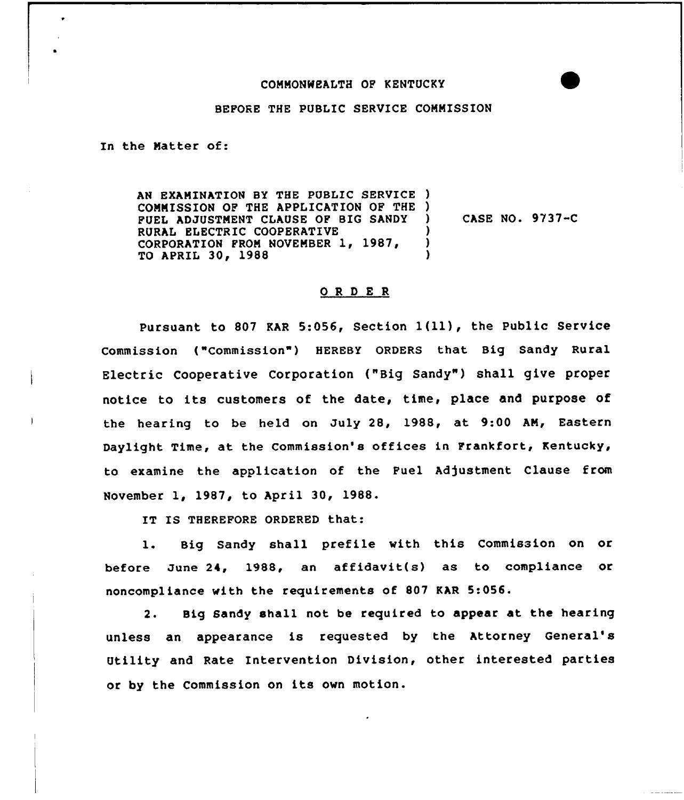## COMMONWEALTH OP KENTUCKY

## BEFORE THE PUBLIC SERVICE CONMISSION

In the Natter of:

AN EXAMINATION BY THE PUBLIC SERVICE ) COMNISSION OF THE APPLICATION OF THE ) PUEL ADJUSTNENT CLAUSE OF BIG SANDY RURAL ELECTRIC COOPERATIVE CORPORATION FROM NOVEMBER 1, 1987, TO APRIL 30, 1988 ) CASE NO. 9/37«C ) ) )

## ORD ER

Pursuant to <sup>807</sup> KAR 5:056, Section 1{ll), the Public Service Commission ("Commission") HEREBY ORDERS that Big Sandy Rural Electric Cooperative Corporation {"Big Sandy" ) shall give proper notice to its customers of the date, time, place and purpose of the hearing to be held on July 28, 1988, at 9:00 AN, Eastern Daylight Time, at the Commission's offices in Frankfort, Kentucky, to examine the application of the Fuel Adjustment Clause from November 1, 1987, to April 30, 1988.

IT IS THEREFORE ORDERED that:

1. Big Sandy shall prefile with this Commission on or before June 24, 19SS, an affidavit(s) as to compliance or noncompliance with the requirements of 807 KAR 5:056.

2. Big Sandy shall not be required to appear at the hearing unless an appearance is requested by the Attorney General' Utility and Rate Intervention Division, other interested parties or by the Commission on its own motion.